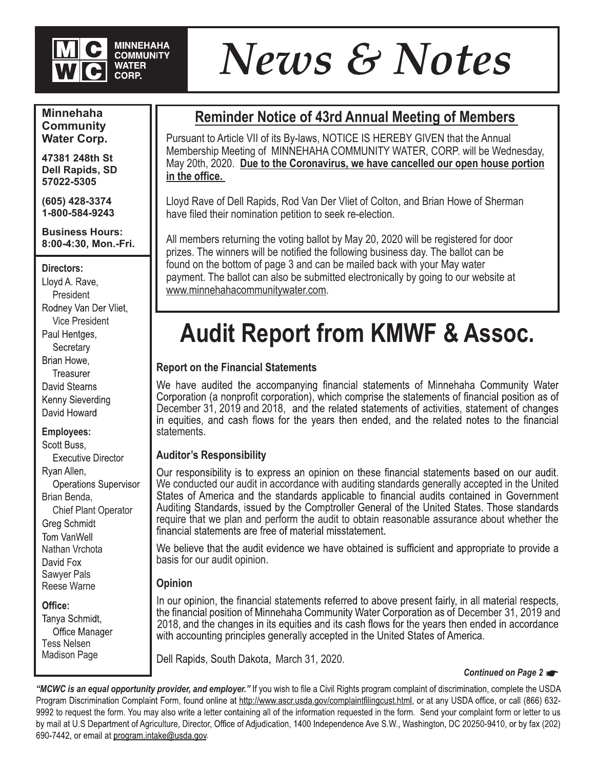

# **News & Notes**

**Minnehaha Community Water Corp.**

**47381 248th St Dell Rapids, SD 57022-5305**

**(605) 428-3374 1-800-584-9243**

**Business Hours: 8:00-4:30, Mon.-Fri.**

#### **Directors:**

Llovd A. Rave. President Rodney Van Der Vliet, Vice President Paul Hentges, Secretary Brian Howe. Treasurer David Stearns Kenny Sieverding David Howard

#### **Employees:**

Scott Buss. **Executive Director** Rvan Allen. **Operations Supervisor** Brian Benda, Chief Plant Operator Greg Schmidt Tom VanWell Nathan Vrchota David Fox Sawyer Pals Reese Warne

#### Office:

Tanya Schmidt, Office Manager Tess Nelsen Madison Page

### **Reminder Notice of 43rd Annual Meeting of Members**

Pursuant to Article VII of its By-laws, NOTICE IS HEREBY GIVEN that the Annual Membership Meeting of MINNEHAHA COMMUNITY WATER, CORP. will be Wednesday, May 20th, 2020. **Due to the Coronavirus, we have cancelled our open house portion in the office.** 

Lloyd Rave of Dell Rapids, Rod Van Der Vliet of Colton, and Brian Howe of Sherman have filed their nomination petition to seek re-election.

All members returning the voting ballot by May 20, 2020 will be registered for door prizes. The winners will be notified the following business day. The ballot can be found on the bottom of page 3 and can be mailed back with your May water payment. The ballot can also be submitted electronically by going to our website at www.minnehahacommunitywater.com.

### **Audit Report from KMWF & Assoc.**

#### **Report on the Financial Statements**

We have audited the accompanying financial statements of Minnehaha Community Water Corporation (a nonprofit corporation), which comprise the statements of financial position as of December 31, 2019 and 2018, and the related statements of activities, statement of changes in equities, and cash flows for the years then ended, and the related notes to the financial statements.

#### **Auditor's Responsibility**

Our responsibility is to express an opinion on these financial statements based on our audit. We conducted our audit in accordance with auditing standards generally accepted in the United<br>States of America and the standards applicable to financial audits contained in Government Auditing Standards, issued by the Comptroller General of the United States. Those standards require that we plan and perform the audit to obtain reasonable assurance about whether the<br>financial statements are free of material misstatement.

We believe that the audit evidence we have obtained is sufficient and appropriate to provide a basis for our audit opinion.

#### **Opinion**

In our opinion, the financial statements referred to above present fairly, in all material respects, the financial position of Minnehaha Community Water Corporation as of December 31, 2019 and 2018, and the changes in its equities and its cash flows for the years then ended in accordance with accordance<br>with accounting principles generally accepted in the United States of America.

Dell Rapids, South Dakota, March 31, 2020.

#### *Continued on Page 2*

*"MCWC is an equal opportunity provider, and employer."* Program Discrimination Complaint Form, found online at http://www.ascr.usda.gov/complaintfilingcust.html, or at any USDA office, or call (866) 632-9992 to request the form. You may also write a letter containing all of the information requested in the form. Send your complaint form or letter to us by mail at U.S Department of Agriculture, Director, Office of Adjudication, 1400 Independence Ave S.W., Washington, DC 20250-9410, or by fax (202) 690-7442, or email at program.intake@usda.gov.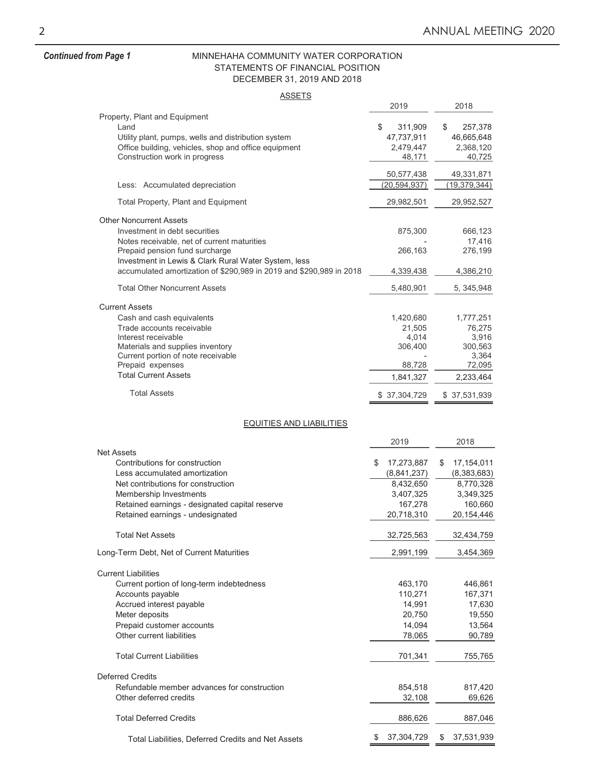#### **Continued from Page 1**

#### MINNEHAHA COMMUNITY WATER CORPORATION STATEMENTS OF FINANCIAL POSITION DECEMBER 31, 2019 AND 2018

#### **ASSETS**

|                                                                     | 2019             | 2018             |
|---------------------------------------------------------------------|------------------|------------------|
| Property, Plant and Equipment                                       |                  |                  |
| Land                                                                | \$<br>311,909    | \$<br>257,378    |
| Utility plant, pumps, wells and distribution system                 | 47,737,911       | 46,665,648       |
| Office building, vehicles, shop and office equipment                | 2,479,447        | 2,368,120        |
| Construction work in progress                                       | 48,171           | 40,725           |
|                                                                     |                  |                  |
|                                                                     | 50,577,438       | 49,331,871       |
| Less: Accumulated depreciation                                      | (20, 594, 937)   | (19, 379, 344)   |
| <b>Total Property, Plant and Equipment</b>                          | 29,982,501       | 29,952,527       |
|                                                                     |                  |                  |
| <b>Other Noncurrent Assets</b>                                      |                  |                  |
| Investment in debt securities                                       | 875,300          | 666,123          |
| Notes receivable, net of current maturities                         |                  | 17,416           |
| Prepaid pension fund surcharge                                      | 266,163          | 276,199          |
| Investment in Lewis & Clark Rural Water System, less                |                  |                  |
| accumulated amortization of \$290,989 in 2019 and \$290,989 in 2018 | 4,339,438        | 4,386,210        |
| <b>Total Other Noncurrent Assets</b>                                | 5,480,901        | 5, 345, 948      |
|                                                                     |                  |                  |
| <b>Current Assets</b>                                               |                  |                  |
| Cash and cash equivalents                                           | 1,420,680        | 1,777,251        |
| Trade accounts receivable                                           | 21,505           | 76,275           |
| Interest receivable                                                 | 4,014            | 3,916            |
| Materials and supplies inventory                                    | 306,400          | 300,563          |
| Current portion of note receivable                                  |                  | 3,364            |
| Prepaid expenses                                                    | 88,728           | 72,095           |
| <b>Total Current Assets</b>                                         | 1,841,327        | 2,233,464        |
| <b>Total Assets</b>                                                 | \$37,304,729     | \$37,531,939     |
|                                                                     |                  |                  |
| EQUITIES AND LIABILITIES                                            |                  |                  |
|                                                                     |                  |                  |
|                                                                     | 2019             | 2018             |
| <b>Net Assets</b>                                                   |                  |                  |
| Contributions for construction                                      | \$<br>17,273,887 | 17,154,011<br>\$ |
| Less accumulated amortization                                       | (8,841,237)      | (8,383,683)      |
| Net contributions for construction                                  | 8,432,650        | 8,770,328        |
| Membership Investments                                              | 3,407,325        | 3,349,325        |
| Retained earnings - designated capital reserve                      | 167,278          | 160,660          |
| Retained earnings - undesignated                                    | 20,718,310       | 20,154,446       |
|                                                                     |                  |                  |
| <b>Total Net Assets</b>                                             | 32,725,563       | 32,434,759       |
| Long-Term Debt, Net of Current Maturities                           | 2,991,199        | 3,454,369        |
|                                                                     |                  |                  |
| <b>Current Liabilities</b>                                          |                  |                  |
| Current portion of long-term indebtedness                           | 463,170          | 446,861          |
| Accounts payable                                                    | 110,271          | 167,371          |
| Accrued interest payable                                            | 14,991           | 17,630           |
| Meter deposits                                                      | 20,750           | 19,550           |
| Prepaid customer accounts                                           | 14,094           | 13,564           |
| Other current liabilities                                           | 78,065           | 90,789           |
|                                                                     |                  |                  |
| <b>Total Current Liabilities</b>                                    | 701,341          | 755,765          |
| <b>Deferred Credits</b>                                             |                  |                  |
|                                                                     | 854,518          |                  |
| Refundable member advances for construction                         |                  | 817,420          |
| Other deferred credits                                              |                  |                  |
|                                                                     | 32,108           | 69,626           |
|                                                                     |                  |                  |
| <b>Total Deferred Credits</b>                                       | 886,626          | 887,046          |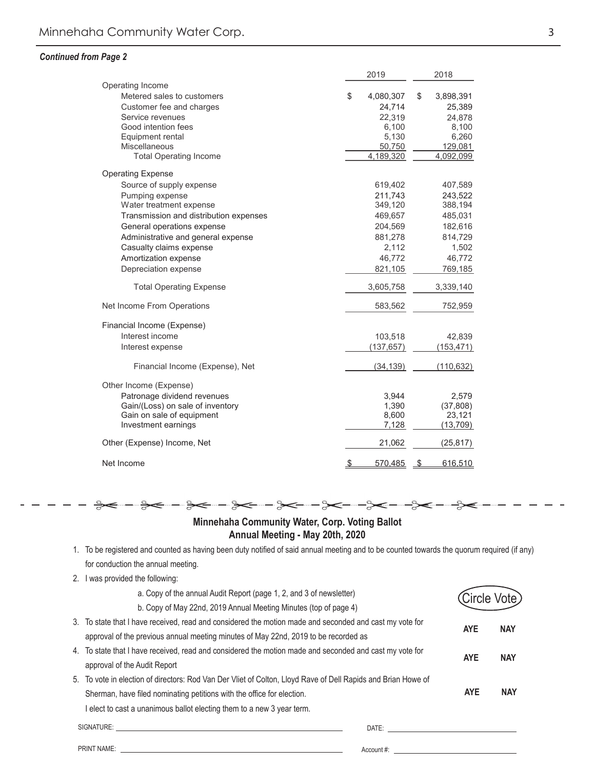#### *Continued from Page 2*

|                                                                                                                                                                                                                                                                 | 2019                                                                                         |    | 2018                                                                                         |  |
|-----------------------------------------------------------------------------------------------------------------------------------------------------------------------------------------------------------------------------------------------------------------|----------------------------------------------------------------------------------------------|----|----------------------------------------------------------------------------------------------|--|
| Operating Income<br>Metered sales to customers<br>Customer fee and charges<br>Service revenues<br>Good intention fees<br>Equipment rental<br>Miscellaneous<br><b>Total Operating Income</b>                                                                     | \$<br>4,080,307<br>24,714<br>22,319<br>6,100<br>5,130<br>50,750<br>4,189,320                 | \$ | 3,898,391<br>25,389<br>24,878<br>8,100<br>6,260<br>129,081<br>4,092,099                      |  |
| <b>Operating Expense</b>                                                                                                                                                                                                                                        |                                                                                              |    |                                                                                              |  |
| Source of supply expense<br>Pumping expense<br>Water treatment expense<br>Transmission and distribution expenses<br>General operations expense<br>Administrative and general expense<br>Casualty claims expense<br>Amortization expense<br>Depreciation expense | 619,402<br>211,743<br>349,120<br>469,657<br>204,569<br>881,278<br>2,112<br>46,772<br>821,105 |    | 407,589<br>243,522<br>388,194<br>485,031<br>182,616<br>814,729<br>1,502<br>46,772<br>769,185 |  |
| <b>Total Operating Expense</b>                                                                                                                                                                                                                                  | 3,605,758                                                                                    |    | 3,339,140                                                                                    |  |
| Net Income From Operations                                                                                                                                                                                                                                      | 583,562                                                                                      |    | 752,959                                                                                      |  |
| Financial Income (Expense)<br>Interest income<br>Interest expense<br>Financial Income (Expense), Net                                                                                                                                                            | 103,518<br>(137, 657)<br>(34, 139)                                                           |    | 42,839<br>(153, 471)<br>(110, 632)                                                           |  |
| Other Income (Expense)<br>Patronage dividend revenues<br>Gain/(Loss) on sale of inventory<br>Gain on sale of equipment<br>Investment earnings                                                                                                                   | 3,944<br>1,390<br>8,600<br>7,128                                                             |    | 2,579<br>(37, 808)<br>23,121<br>(13,709)                                                     |  |
| Other (Expense) Income, Net                                                                                                                                                                                                                                     | 21,062                                                                                       |    | (25, 817)                                                                                    |  |
| Net Income                                                                                                                                                                                                                                                      | 570.485                                                                                      |    | 616.510                                                                                      |  |

) and (  $\overline{3}$  ) and (  $\overline{3}$  ) and (  $\overline{3}$  ) and (  $\overline{3}$  ) and (  $\overline{3}$  ) and (  $\overline{3}$  ) and (  $\overline{3}$  ) and (  $\overline{3}$  ) and (  $\overline{3}$  ) and (  $\overline{3}$  ) and (  $\overline{3}$  ) and (  $\overline{3}$  ) and (  $\overline{3}$ 

 $-3e - 3e - 3e - 3e - 3e - 3e - 3e - 3e$ €

> !"##\$%&%&'()\*\*+#",-'.&,\$/0'()/12'3),"#4'5&66), **Annual Meeting - May 20th, 2020 Minnehaha Community Water, Corp. Voting Ballot**

- 1. To be registered and counted as having been duty notified of said annual meeting and to be counted towards the quorum required (if any) for conduction the annual meeting. The state of the state of the state of the state of the state of the state of the state of the state of the state of the state of the state of the state of the state of the state of the s
- 2. I was provided the following:

| a. Copy of the annual Audit Report (page 1, 2, and 3 of newsletter)                                                                                                                                                                |                                                                                                                                                                                                                                |                          | 'ote       |
|------------------------------------------------------------------------------------------------------------------------------------------------------------------------------------------------------------------------------------|--------------------------------------------------------------------------------------------------------------------------------------------------------------------------------------------------------------------------------|--------------------------|------------|
| b. Copy of May 22nd, 2019 Annual Meeting Minutes (top of page 4)<br>3. To state that I have received, read and considered the motion made and seconded and cast my vote for                                                        |                                                                                                                                                                                                                                |                          |            |
| approval of the previous annual meeting minutes of May 22nd, 2019 to be recorded as                                                                                                                                                |                                                                                                                                                                                                                                | <b>AYE</b><br><b>NAY</b> |            |
| To state that I have received, read and considered the motion made and seconded and cast my vote for<br>4.                                                                                                                         |                                                                                                                                                                                                                                | <b>AYE</b>               | <b>NAY</b> |
| approval of the Audit Report<br>5. To vote in election of directors: Rod Van Der Vliet of Colton, Lloyd Rave of Dell Rapids and Brian Howe of                                                                                      |                                                                                                                                                                                                                                |                          |            |
| Sherman, have filed nominating petitions with the office for election.                                                                                                                                                             |                                                                                                                                                                                                                                | <b>AYE</b>               | <b>NAY</b> |
| elect to cast a unanimous ballot electing them to a new 3 year term.                                                                                                                                                               |                                                                                                                                                                                                                                |                          |            |
| SIGNATURE: The contract of the contract of the contract of the contract of the contract of the contract of the contract of the contract of the contract of the contract of the contract of the contract of the contract of the     | DATE: the contract of the contract of the contract of the contract of the contract of the contract of the contract of the contract of the contract of the contract of the contract of the contract of the contract of the cont |                          |            |
| <b>PRINT NAME:</b> The contract of the contract of the contract of the contract of the contract of the contract of the contract of the contract of the contract of the contract of the contract of the contract of the contract of | Account #:                                                                                                                                                                                                                     |                          |            |